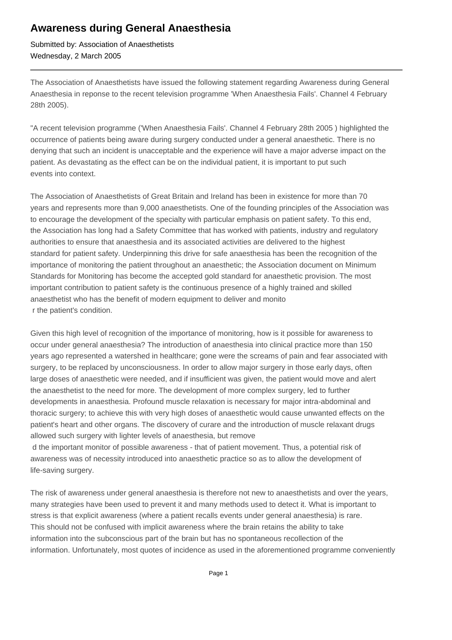## **Awareness during General Anaesthesia**

Submitted by: Association of Anaesthetists Wednesday, 2 March 2005

The Association of Anaesthetists have issued the following statement regarding Awareness during General Anaesthesia in reponse to the recent television programme 'When Anaesthesia Fails'. Channel 4 February 28th 2005).

"A recent television programme ('When Anaesthesia Fails'. Channel 4 February 28th 2005 ) highlighted the occurrence of patients being aware during surgery conducted under a general anaesthetic. There is no denying that such an incident is unacceptable and the experience will have a major adverse impact on the patient. As devastating as the effect can be on the individual patient, it is important to put such events into context.

The Association of Anaesthetists of Great Britain and Ireland has been in existence for more than 70 years and represents more than 9,000 anaesthetists. One of the founding principles of the Association was to encourage the development of the specialty with particular emphasis on patient safety. To this end, the Association has long had a Safety Committee that has worked with patients, industry and regulatory authorities to ensure that anaesthesia and its associated activities are delivered to the highest standard for patient safety. Underpinning this drive for safe anaesthesia has been the recognition of the importance of monitoring the patient throughout an anaesthetic; the Association document on Minimum Standards for Monitoring has become the accepted gold standard for anaesthetic provision. The most important contribution to patient safety is the continuous presence of a highly trained and skilled anaesthetist who has the benefit of modern equipment to deliver and monito r the patient's condition.

Given this high level of recognition of the importance of monitoring, how is it possible for awareness to occur under general anaesthesia? The introduction of anaesthesia into clinical practice more than 150 years ago represented a watershed in healthcare; gone were the screams of pain and fear associated with surgery, to be replaced by unconsciousness. In order to allow major surgery in those early days, often large doses of anaesthetic were needed, and if insufficient was given, the patient would move and alert the anaesthetist to the need for more. The development of more complex surgery, led to further developments in anaesthesia. Profound muscle relaxation is necessary for major intra-abdominal and thoracic surgery; to achieve this with very high doses of anaesthetic would cause unwanted effects on the patient's heart and other organs. The discovery of curare and the introduction of muscle relaxant drugs allowed such surgery with lighter levels of anaesthesia, but remove

 d the important monitor of possible awareness - that of patient movement. Thus, a potential risk of awareness was of necessity introduced into anaesthetic practice so as to allow the development of life-saving surgery.

The risk of awareness under general anaesthesia is therefore not new to anaesthetists and over the years, many strategies have been used to prevent it and many methods used to detect it. What is important to stress is that explicit awareness (where a patient recalls events under general anaesthesia) is rare. This should not be confused with implicit awareness where the brain retains the ability to take information into the subconscious part of the brain but has no spontaneous recollection of the information. Unfortunately, most quotes of incidence as used in the aforementioned programme conveniently